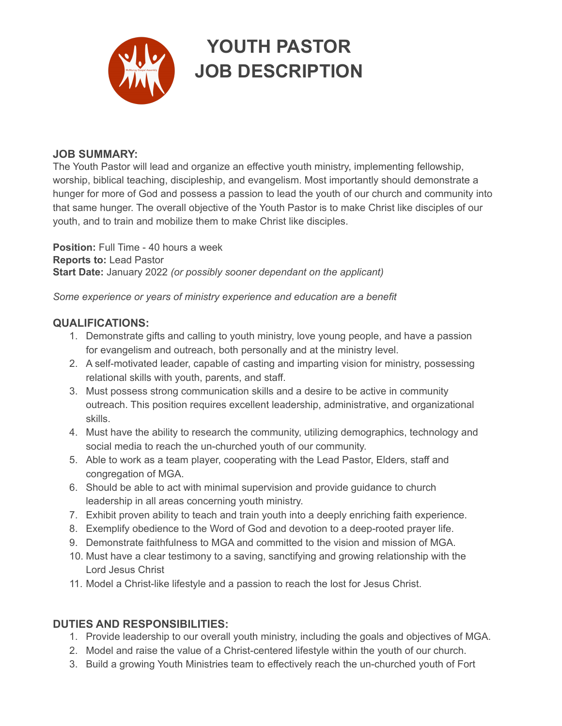

## **YOUTH PASTOR JOB DESCRIPTION**

## **JOB SUMMARY:**

The Youth Pastor will lead and organize an effective youth ministry, implementing fellowship, worship, biblical teaching, discipleship, and evangelism. Most importantly should demonstrate a hunger for more of God and possess a passion to lead the youth of our church and community into that same hunger. The overall objective of the Youth Pastor is to make Christ like disciples of our youth, and to train and mobilize them to make Christ like disciples.

**Position:** Full Time - 40 hours a week **Reports to:** Lead Pastor **Start Date:** January 2022 *(or possibly sooner dependant on the applicant)*

*Some experience or years of ministry experience and education are a benefit*

## **QUALIFICATIONS:**

- 1. Demonstrate gifts and calling to youth ministry, love young people, and have a passion for evangelism and outreach, both personally and at the ministry level.
- 2. A self-motivated leader, capable of casting and imparting vision for ministry, possessing relational skills with youth, parents, and staff.
- 3. Must possess strong communication skills and a desire to be active in community outreach. This position requires excellent leadership, administrative, and organizational skills.
- 4. Must have the ability to research the community, utilizing demographics, technology and social media to reach the un-churched youth of our community.
- 5. Able to work as a team player, cooperating with the Lead Pastor, Elders, staff and congregation of MGA.
- 6. Should be able to act with minimal supervision and provide guidance to church leadership in all areas concerning youth ministry.
- 7. Exhibit proven ability to teach and train youth into a deeply enriching faith experience.
- 8. Exemplify obedience to the Word of God and devotion to a deep-rooted prayer life.
- 9. Demonstrate faithfulness to MGA and committed to the vision and mission of MGA.
- 10. Must have a clear testimony to a saving, sanctifying and growing relationship with the Lord Jesus Christ
- 11. Model a Christ-like lifestyle and a passion to reach the lost for Jesus Christ.

## **DUTIES AND RESPONSIBILITIES:**

- 1. Provide leadership to our overall youth ministry, including the goals and objectives of MGA.
- 2. Model and raise the value of a Christ-centered lifestyle within the youth of our church.
- 3. Build a growing Youth Ministries team to effectively reach the un-churched youth of Fort